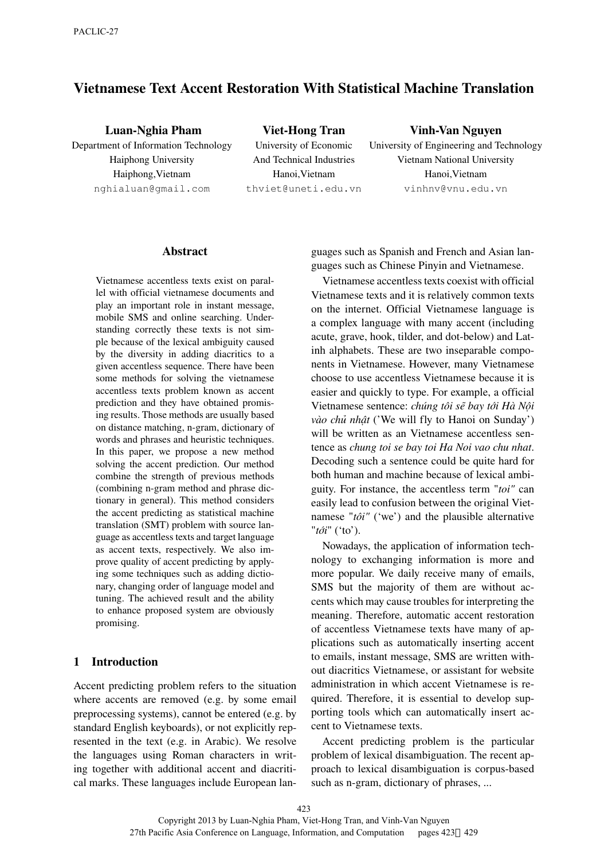# **Vietnamese Text Accent Restoration With Statistical Machine Translation**

**Luan-Nghia Pham** Department of Information Technology Haiphong University Haiphong,Vietnam nghialuan@gmail.com

**Viet-Hong Tran** University of Economic And Technical Industries Hanoi,Vietnam thviet@uneti.edu.vn

#### **Vinh-Van Nguyen**

University of Engineering and Technology Vietnam National University Hanoi,Vietnam vinhnv@vnu.edu.vn

#### **Abstract**

Vietnamese accentless texts exist on parallel with official vietnamese documents and play an important role in instant message, mobile SMS and online searching. Understanding correctly these texts is not simple because of the lexical ambiguity caused by the diversity in adding diacritics to a given accentless sequence. There have been some methods for solving the vietnamese accentless texts problem known as accent prediction and they have obtained promising results. Those methods are usually based on distance matching, n-gram, dictionary of words and phrases and heuristic techniques. In this paper, we propose a new method solving the accent prediction. Our method combine the strength of previous methods (combining n-gram method and phrase dictionary in general). This method considers the accent predicting as statistical machine translation (SMT) problem with source language as accentless texts and target language as accent texts, respectively. We also improve quality of accent predicting by applying some techniques such as adding dictionary, changing order of language model and tuning. The achieved result and the ability to enhance proposed system are obviously promising.

# **1 Introduction**

Accent predicting problem refers to the situation where accents are removed (e.g. by some email preprocessing systems), cannot be entered (e.g. by standard English keyboards), or not explicitly represented in the text (e.g. in Arabic). We resolve the languages using Roman characters in writing together with additional accent and diacritical marks. These languages include European languages such as Spanish and French and Asian languages such as Chinese Pinyin and Vietnamese.

Vietnamese accentless texts coexist with official Vietnamese texts and it is relatively common texts on the internet. Official Vietnamese language is a complex language with many accent (including acute, grave, hook, tilder, and dot-below) and Latinh alphabets. These are two inseparable components in Vietnamese. However, many Vietnamese choose to use accentless Vietnamese because it is easier and quickly to type. For example, a official Vietnamese sentence: *chúng tôi sẽ bay tới Hà Nội vào chủ nhật* ('We will fly to Hanoi on Sunday') will be written as an Vietnamese accentless sentence as *chung toi se bay toi Ha Noi vao chu nhat*. Decoding such a sentence could be quite hard for both human and machine because of lexical ambiguity. For instance, the accentless term "*toi"* can easily lead to confusion between the original Vietnamese "*tôi"* ('we') and the plausible alternative "*tới*" ('to').

Nowadays, the application of information technology to exchanging information is more and more popular. We daily receive many of emails, SMS but the majority of them are without accents which may cause troubles for interpreting the meaning. Therefore, automatic accent restoration of accentless Vietnamese texts have many of applications such as automatically inserting accent to emails, instant message, SMS are written without diacritics Vietnamese, or assistant for website administration in which accent Vietnamese is required. Therefore, it is essential to develop supporting tools which can automatically insert accent to Vietnamese texts.

Accent predicting problem is the particular problem of lexical disambiguation. The recent approach to lexical disambiguation is corpus-based such as n-gram, dictionary of phrases, ...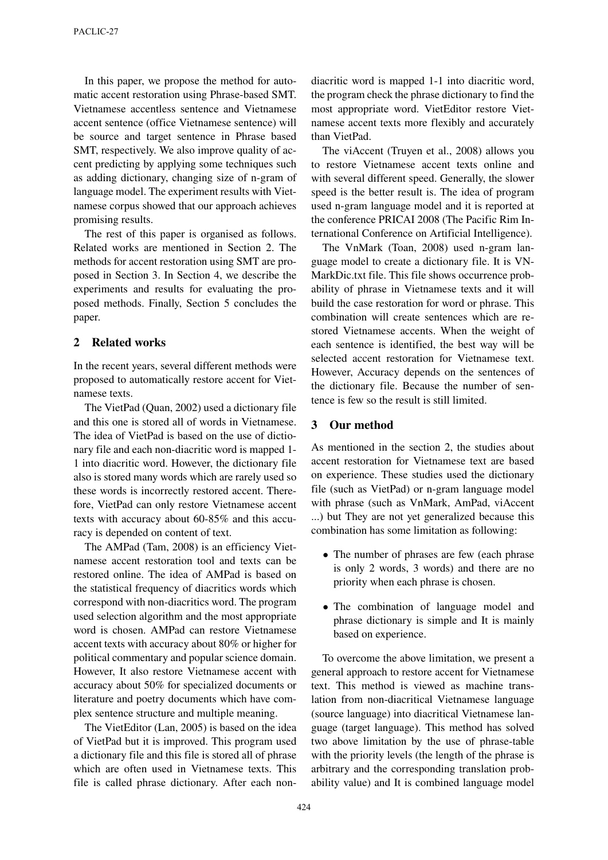In this paper, we propose the method for automatic accent restoration using Phrase-based SMT. Vietnamese accentless sentence and Vietnamese accent sentence (office Vietnamese sentence) will be source and target sentence in Phrase based SMT, respectively. We also improve quality of accent predicting by applying some techniques such as adding dictionary, changing size of n-gram of language model. The experiment results with Vietnamese corpus showed that our approach achieves promising results.

The rest of this paper is organised as follows. Related works are mentioned in Section 2. The methods for accent restoration using SMT are proposed in Section 3. In Section 4, we describe the experiments and results for evaluating the proposed methods. Finally, Section 5 concludes the paper.

# **2 Related works**

In the recent years, several different methods were proposed to automatically restore accent for Vietnamese texts.

The VietPad (Quan, 2002) used a dictionary file and this one is stored all of words in Vietnamese. The idea of VietPad is based on the use of dictionary file and each non-diacritic word is mapped 1- 1 into diacritic word. However, the dictionary file also is stored many words which are rarely used so these words is incorrectly restored accent. Therefore, VietPad can only restore Vietnamese accent texts with accuracy about 60-85% and this accuracy is depended on content of text.

The AMPad (Tam, 2008) is an efficiency Vietnamese accent restoration tool and texts can be restored online. The idea of AMPad is based on the statistical frequency of diacritics words which correspond with non-diacritics word. The program used selection algorithm and the most appropriate word is chosen. AMPad can restore Vietnamese accent texts with accuracy about 80% or higher for political commentary and popular science domain. However, It also restore Vietnamese accent with accuracy about 50% for specialized documents or literature and poetry documents which have complex sentence structure and multiple meaning.

The VietEditor (Lan, 2005) is based on the idea of VietPad but it is improved. This program used a dictionary file and this file is stored all of phrase which are often used in Vietnamese texts. This file is called phrase dictionary. After each nondiacritic word is mapped 1-1 into diacritic word, the program check the phrase dictionary to find the most appropriate word. VietEditor restore Vietnamese accent texts more flexibly and accurately than VietPad.

The viAccent (Truyen et al., 2008) allows you to restore Vietnamese accent texts online and with several different speed. Generally, the slower speed is the better result is. The idea of program used n-gram language model and it is reported at the conference PRICAI 2008 (The Pacific Rim International Conference on Artificial Intelligence).

The VnMark (Toan, 2008) used n-gram language model to create a dictionary file. It is VN-MarkDic.txt file. This file shows occurrence probability of phrase in Vietnamese texts and it will build the case restoration for word or phrase. This combination will create sentences which are restored Vietnamese accents. When the weight of each sentence is identified, the best way will be selected accent restoration for Vietnamese text. However, Accuracy depends on the sentences of the dictionary file. Because the number of sentence is few so the result is still limited.

# **3 Our method**

As mentioned in the section 2, the studies about accent restoration for Vietnamese text are based on experience. These studies used the dictionary file (such as VietPad) or n-gram language model with phrase (such as VnMark, AmPad, viAccent ...) but They are not yet generalized because this combination has some limitation as following:

- The number of phrases are few (each phrase is only 2 words, 3 words) and there are no priority when each phrase is chosen.
- The combination of language model and phrase dictionary is simple and It is mainly based on experience.

To overcome the above limitation, we present a general approach to restore accent for Vietnamese text. This method is viewed as machine translation from non-diacritical Vietnamese language (source language) into diacritical Vietnamese language (target language). This method has solved two above limitation by the use of phrase-table with the priority levels (the length of the phrase is arbitrary and the corresponding translation probability value) and It is combined language model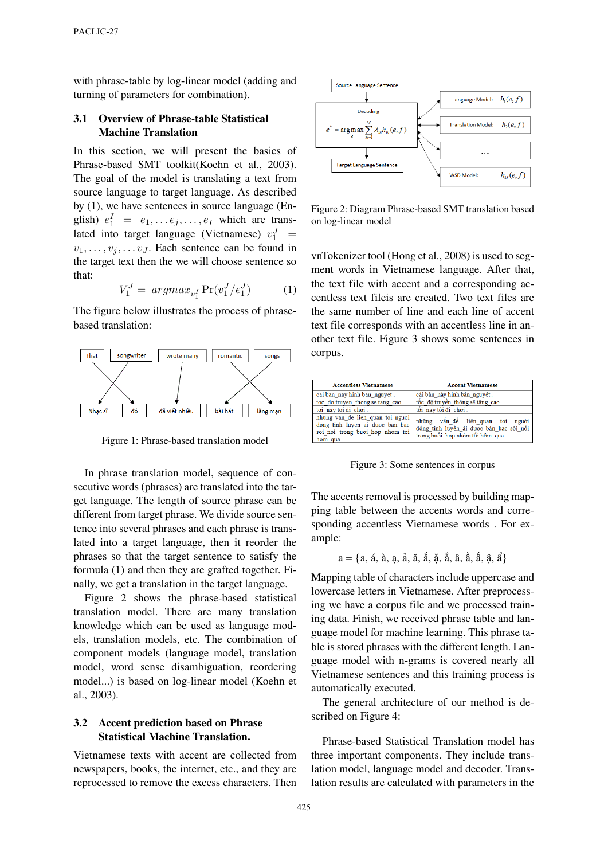with phrase-table by log-linear model (adding and turning of parameters for combination).

# **3.1 Overview of Phrase-table Statistical Machine Translation**

In this section, we will present the basics of Phrase-based SMT toolkit(Koehn et al., 2003). The goal of the model is translating a text from source language to target language. As described by (1), we have sentences in source language (English)  $e_1^I = e_1, \dots e_j, \dots, e_I$  which are translated into target language (Vietnamese)  $v_1^J$  =  $v_1, \ldots, v_j, \ldots v_J$ . Each sentence can be found in the target text then the we will choose sentence so that:

$$
V_1^J = \arg\max_{v_1^I} \Pr(v_1^J / e_1^J) \tag{1}
$$

The figure below illustrates the process of phrasebased translation:



Figure 1: Phrase-based translation model

In phrase translation model, sequence of consecutive words (phrases) are translated into the target language. The length of source phrase can be different from target phrase. We divide source sentence into several phrases and each phrase is translated into a target language, then it reorder the phrases so that the target sentence to satisfy the formula (1) and then they are grafted together. Finally, we get a translation in the target language.

Figure 2 shows the phrase-based statistical translation model. There are many translation knowledge which can be used as language models, translation models, etc. The combination of component models (language model, translation model, word sense disambiguation, reordering model...) is based on log-linear model (Koehn et al., 2003).

# **3.2 Accent prediction based on Phrase Statistical Machine Translation.**

Vietnamese texts with accent are collected from newspapers, books, the internet, etc., and they are reprocessed to remove the excess characters. Then



Figure 2: Diagram Phrase-based SMT translation based on log-linear model

vnTokenizer tool (Hong et al., 2008) is used to segment words in Vietnamese language. After that, the text file with accent and a corresponding accentless text fileis are created. Two text files are the same number of line and each line of accent text file corresponds with an accentless line in another text file. Figure 3 shows some sentences in corpus.

| <b>Accentless Vietnamese</b>                                                                                      | <b>Accent Vietnamese</b>                                                                                        |
|-------------------------------------------------------------------------------------------------------------------|-----------------------------------------------------------------------------------------------------------------|
| cai ban nay hinh ban nguyet.                                                                                      | cái bản này hình bán nguyệt.                                                                                    |
| toc do truyen thong se tang cao.                                                                                  | tốc độ truyền thông sẽ tăng cao.                                                                                |
| toi nav toi di choi.                                                                                              | tối nay tôi đi chơi.                                                                                            |
| nhung van de lien quan toi nguoi<br>dong tinh luyen ai duoc ban bac<br>soi noi trong buoi hop nhom toi<br>hom qua | những vấn đề liên quan tới người<br>đồng tính luyến ái được bàn bạc sôi nổi<br>trong buổi họp nhóm tối hôm qua. |

Figure 3: Some sentences in corpus

The accents removal is processed by building mapping table between the accents words and corresponding accentless Vietnamese words . For example:

a = {a, á, à, ạ, ả, ă, ắ, ặ, ẳ, â, ầ, ấ, ậ, ẩ}

Mapping table of characters include uppercase and lowercase letters in Vietnamese. After preprocessing we have a corpus file and we processed training data. Finish, we received phrase table and language model for machine learning. This phrase table is stored phrases with the different length. Language model with n-grams is covered nearly all Vietnamese sentences and this training process is automatically executed.

The general architecture of our method is described on Figure 4:

Phrase-based Statistical Translation model has three important components. They include translation model, language model and decoder. Translation results are calculated with parameters in the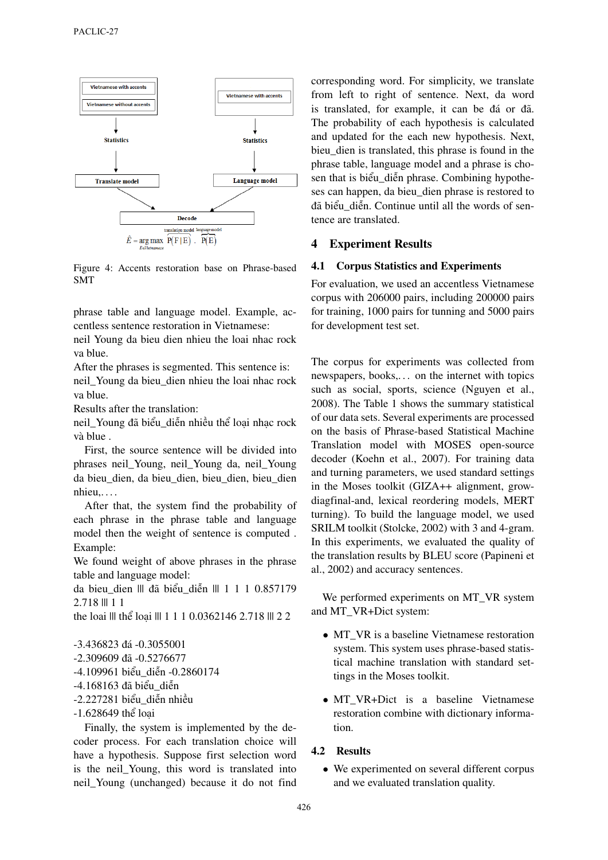

Figure 4: Accents restoration base on Phrase-based SMT

phrase table and language model. Example, accentless sentence restoration in Vietnamese:

neil Young da bieu dien nhieu the loai nhac rock va blue.

After the phrases is segmented. This sentence is: neil\_Young da bieu\_dien nhieu the loai nhac rock va blue.

Results after the translation:

neil\_Young đã biểu\_diễn nhiều thể loại nhạc rock và blue .

First, the source sentence will be divided into phrases neil\_Young, neil\_Young da, neil\_Young da bieu\_dien, da bieu\_dien, bieu\_dien, bieu\_dien nhieu,. . . .

After that, the system find the probability of each phrase in the phrase table and language model then the weight of sentence is computed . Example:

We found weight of above phrases in the phrase table and language model:

da bieu\_dien ||| đã biểu\_diễn ||| 1 1 1 0.857179 2.718 ||| 1 1

the loai ||| thể loại ||| 1 1 1 0.0362146 2.718 ||| 2 2

-3.436823 đá -0.3055001 -2.309609 đã -0.5276677 -4.109961 biểu\_diễn -0.2860174 -4.168163 đã biểu\_diễn -2.227281 biểu\_diễn nhiều -1.628649 thể loại

Finally, the system is implemented by the decoder process. For each translation choice will have a hypothesis. Suppose first selection word is the neil\_Young, this word is translated into neil\_Young (unchanged) because it do not find corresponding word. For simplicity, we translate from left to right of sentence. Next, da word is translated, for example, it can be đá or đã. The probability of each hypothesis is calculated and updated for the each new hypothesis. Next, bieu\_dien is translated, this phrase is found in the phrase table, language model and a phrase is chosen that is biểu\_diễn phrase. Combining hypotheses can happen, da bieu\_dien phrase is restored to đã biểu\_diễn. Continue until all the words of sentence are translated.

### **4 Experiment Results**

#### **4.1 Corpus Statistics and Experiments**

For evaluation, we used an accentless Vietnamese corpus with 206000 pairs, including 200000 pairs for training, 1000 pairs for tunning and 5000 pairs for development test set.

The corpus for experiments was collected from newspapers, books,... on the internet with topics such as social, sports, science (Nguyen et al., 2008). The Table 1 shows the summary statistical of our data sets. Several experiments are processed on the basis of Phrase-based Statistical Machine Translation model with MOSES open-source decoder (Koehn et al., 2007). For training data and turning parameters, we used standard settings in the Moses toolkit (GIZA++ alignment, growdiagfinal-and, lexical reordering models, MERT turning). To build the language model, we used SRILM toolkit (Stolcke, 2002) with 3 and 4-gram. In this experiments, we evaluated the quality of the translation results by BLEU score (Papineni et al., 2002) and accuracy sentences.

We performed experiments on MT\_VR system and MT\_VR+Dict system:

- MT\_VR is a baseline Vietnamese restoration system. This system uses phrase-based statistical machine translation with standard settings in the Moses toolkit.
- MT\_VR+Dict is a baseline Vietnamese restoration combine with dictionary information.

### **4.2 Results**

• We experimented on several different corpus and we evaluated translation quality.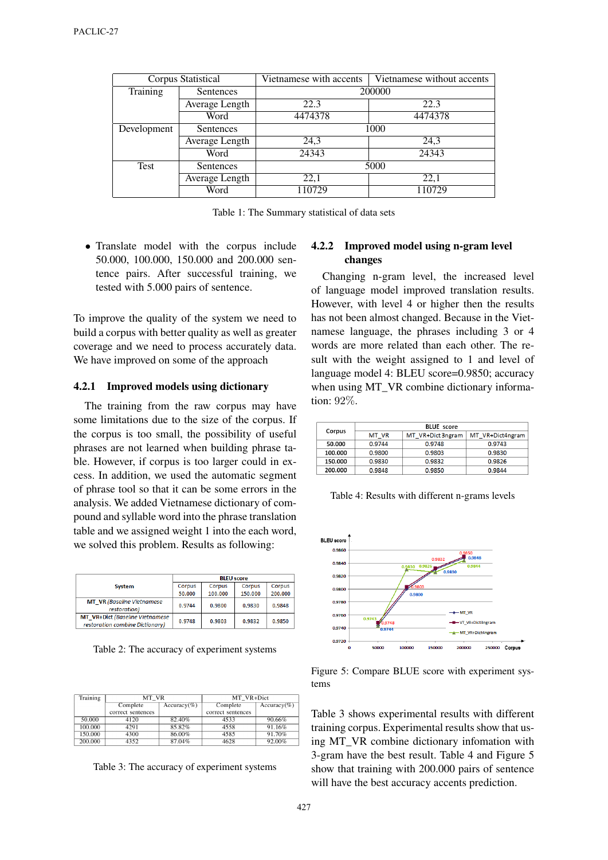|             | Corpus Statistical | Vietnamese with accents | Vietnamese without accents |
|-------------|--------------------|-------------------------|----------------------------|
| Training    | Sentences          | 200000                  |                            |
|             | Average Length     | 22.3                    | 22.3                       |
|             | Word               | 4474378                 | 4474378                    |
| Development | Sentences          | 1000                    |                            |
|             | Average Length     | 24,3                    | 24,3                       |
|             | Word               | 24343                   | 24343                      |
| Test        | Sentences          | 5000                    |                            |
|             | Average Length     | 22,1                    | 22,1                       |
|             | Word               | 110729                  | 110729                     |

Table 1: The Summary statistical of data sets

• Translate model with the corpus include 50.000, 100.000, 150.000 and 200.000 sentence pairs. After successful training, we tested with 5.000 pairs of sentence.

To improve the quality of the system we need to build a corpus with better quality as well as greater coverage and we need to process accurately data. We have improved on some of the approach

#### **4.2.1 Improved models using dictionary**

The training from the raw corpus may have some limitations due to the size of the corpus. If the corpus is too small, the possibility of useful phrases are not learned when building phrase table. However, if corpus is too larger could in excess. In addition, we used the automatic segment of phrase tool so that it can be some errors in the analysis. We added Vietnamese dictionary of compound and syllable word into the phrase translation table and we assigned weight 1 into the each word, we solved this problem. Results as following:

|                                                                           | <b>BLEU</b> score |         |         |               |
|---------------------------------------------------------------------------|-------------------|---------|---------|---------------|
| <b>System</b>                                                             | Corpus            | Corpus  | Corpus  | <b>Corpus</b> |
|                                                                           | 50.000            | 100.000 | 150.000 | 200.000       |
| <b>MT VR</b> (Baseline Vietnamese<br>restoration)                         | 0.9744            | 0.9800  | 0.9830  | 0.9848        |
| <b>MT</b> VR+Dict (Baseline Vietnamese<br>restoration combine Dictionary) | 0.9748            | 0.9803  | 0.9832  | 0.9850        |

Table 2: The accuracy of experiment systems

| Training | MT VR             |                | MT VR+Dict        |                |
|----------|-------------------|----------------|-------------------|----------------|
|          | Complete          | $Accuracy(\%)$ | Complete          | $Accuracy(\%)$ |
|          | correct sentences |                | correct sentences |                |
| 50.000   | 4120              | 82.40%         | 4533              | 90.66%         |
| 100.000  | 4291              | 85.82%         | 4558              | 91.16%         |
| 150.000  | 4300              | 86.00%         | 4585              | 91.70%         |
| 200.000  | 4352              | 87.04%         | 4628              | 92.00%         |

Table 3: The accuracy of experiment systems

# **4.2.2 Improved model using n-gram level changes**

Changing n-gram level, the increased level of language model improved translation results. However, with level 4 or higher then the results has not been almost changed. Because in the Vietnamese language, the phrases including 3 or 4 words are more related than each other. The result with the weight assigned to 1 and level of language model 4: BLEU score=0.9850; accuracy when using MT\_VR combine dictionary information: 92%.

|         | <b>BLUE</b> score |                   |                  |
|---------|-------------------|-------------------|------------------|
| Corpus  | MT VR             | MT VR+Dict 3ngram | MT VR+Dict4ngram |
| 50.000  | 0.9744            | 0.9748            | 0.9743           |
| 100.000 | 0.9800            | 0.9803            | 0.9830           |
| 150.000 | 0.9830            | 0.9832            | 0.9826           |
| 200.000 | 0.9848            | 0.9850            | 0.9844           |

Table 4: Results with different n-grams levels



Figure 5: Compare BLUE score with experiment systems

Table 3 shows experimental results with different training corpus. Experimental results show that using MT\_VR combine dictionary infomation with 3-gram have the best result. Table 4 and Figure 5 show that training with 200.000 pairs of sentence will have the best accuracy accents prediction.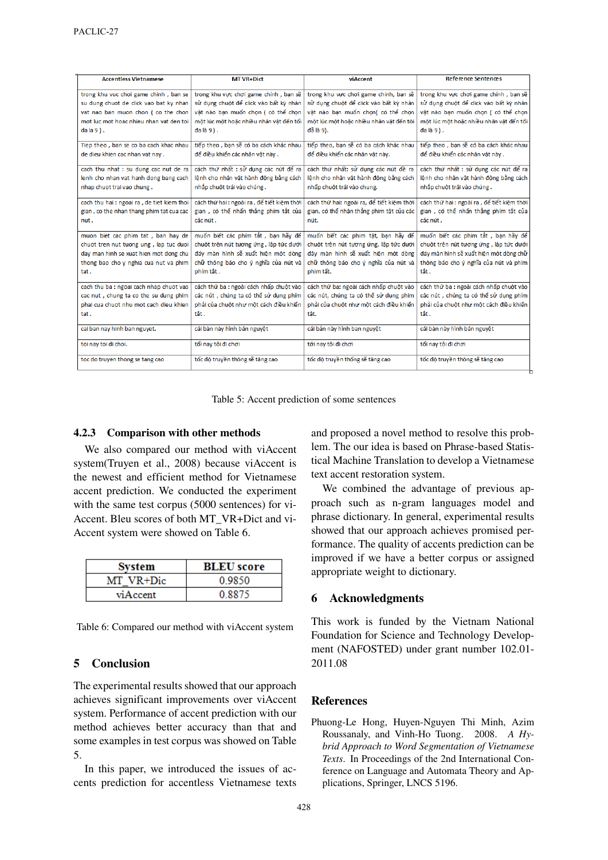| <b>Accentless Vietnamese</b>               | <b>MT VR+Dict</b>                           | viAccent                                  | <b>Reference Sentences</b>                  |
|--------------------------------------------|---------------------------------------------|-------------------------------------------|---------------------------------------------|
| trong khu vuc choi game chinh, ban se      | trong khu vực chơi game chính, bạn sẽ       | trong khu vực chơi game chính, bạn sẽ     | trong khu vực chơi game chính, bạn sẽ       |
| su dung chuot de click vao bat ky nhan     | sử dung chuột để click vào bất kỳ nhân      | sử dung chuột để click vào bất kỳ nhân    | sử dụng chuột để click vào bất kỳ nhân      |
| vat nao ban muon chon ( co the chon        | vật nào bạn muốn chọn (có thể chọn          | vật nào bạn muốn chọn( có thể chọn        | vật nào bạn muốn chọn (có thể chọn          |
| mot luc mot hoac nhieu nhan vat den toi    | một lúc một hoặc nhiều nhân vật đến tối     | một lúc một hoặc nhiều nhân vật đến tôi   | một lúc một hoặc nhiều nhân vật đến tối     |
| $da la 9$ ).                               | đa là 9).                                   | đã là 9).                                 | đa là 9).                                   |
| Tiep theo, ban se co ba cach khac nhau     | tiếp theo, ban sẽ có ba cách khác nhau      | tiếp theo, ban sẽ có ba cách khác nhau    | tiếp theo, ban sẽ có ba cách khác nhau      |
| de dieu khien cac nhan vat nay.            | để điều khiển các nhân vật này.             | để điều khiến các nhân vật này.           | để điều khiển các nhân vật này.             |
| cach thu nhat : su dung cac nut de ra      | cách thứ nhất : sử dụng các nút để ra       | cách thứ nhất: sử dụng các nút đề ra      | cách thứ nhất : sử dụng các nút để ra       |
| lenh cho nhan vat hanh dong bang cach      | lệnh cho nhân vật hành động bằng cách       | lệnh cho nhân vật hành động bằng cách     | lệnh cho nhân vật hành động bằng cách       |
| nhap chuot trai vao chung.                 | nhắp chuột trái vào chúng.                  | nhấp chuột trái vào chung.                | nhắp chuột trái vào chúng.                  |
| cach thu hai : ngoai ra, de tiet kiem thoi | cách thứ hai : ngoài ra , để tiết kiêm thời | cách thứ hai: ngoài ra, để tiết kiêm thời | cách thứ hai : ngoài ra , để tiết kiêm thời |
| gian, co the nhan thang phim tat cua cac   | gian, có thể nhấn thẳng phím tắt của        | gian, có thể nhận thẳng phim tật của các  | gian, có thể nhấn thẳng phím tắt của        |
| nut.                                       | các nút .                                   | nút.                                      | các nút .                                   |
| muon biet cac phim tat, ban hay de         | muốn biết các phím tắt, ban hãy để          | muốn biết các phim tật, ban hãy để        | muốn biết các phím tắt, ban hãy để          |
| chuot tren nut tuong ung, lap tuc duoi     | chuột trên nút tương ứng, lập tức dưới      | chuột trên nút tương ứng, lập tức dưới    | chuột trên nút tương ứng, lập tức dưới      |
| day man hinh se xuat hien mot dong chu     | đáy màn hình sẽ xuất hiện một dòng          | đây màn hình sẽ xuất hiện một dòng        | đáy màn hình sẽ xuất hiện một dòng chữ      |
| thong bao cho y nghia cua nut va phim      | chữ thông báo cho ý nghĩa của nút và        | chữ thông báo cho ý nghĩa của nút và      | thông báo cho ý nghĩa của nút và phím       |
| tat.                                       | phím tắt.                                   | phim tất.                                 | tắt.                                        |
| cach thu ba : ngoai cach nhap chuot vao    | cách thứ ba : ngoài cách nhấp chuột vào     | cách thứ ba: ngoài cách nhấp chuột vào    | cách thứ ba : ngoài cách nhấp chuột vào     |
| cac nut, chung ta co the su dung phim      | các nút, chúng ta có thể sử dụng phím       | các nút, chúng ta có thể sử dụng phim     | các nút, chúng ta có thể sử dụng phím       |
| phai cua chuot nhu mot cach dieu khien     | phải của chuột như một cách điều khiển      | phải của chuột như một cách điều khiển    | phải của chuột như một cách điều khiển      |
| tat.                                       | tắt .                                       | tât.                                      | tắt .                                       |
| cai ban nay hinh ban nguyet.               | cái bàn này hình bán nguyêt                 | cái bản này hình ban nguyêt               | cái bàn này hình bán nguyêt                 |
| toi nay toi di choi.                       | tối nay tôi đi chơi                         | tới nay tôi đi chơi                       | tối nay tôi đi chơi                         |
| toc do truyen thong se tang cao            | tốc độ truyền thông sẽ tăng cao             | tốc độ truyền thống sẽ tăng cao           | tốc đô truyền thông sẽ tăng cao             |
|                                            |                                             |                                           |                                             |

Table 5: Accent prediction of some sentences

# **4.2.3 Comparison with other methods**

We also compared our method with viAccent system(Truyen et al., 2008) because viAccent is the newest and efficient method for Vietnamese accent prediction. We conducted the experiment with the same test corpus (5000 sentences) for vi-Accent. Bleu scores of both MT\_VR+Dict and vi-Accent system were showed on Table 6.

| <b>System</b> | <b>BLEU</b> score |
|---------------|-------------------|
| MT VR+Dic     | 0.9850            |
| viAccent      | 0.8875            |

Table 6: Compared our method with viAccent system

# **5 Conclusion**

The experimental results showed that our approach achieves significant improvements over viAccent system. Performance of accent prediction with our method achieves better accuracy than that and some examples in test corpus was showed on Table 5.

In this paper, we introduced the issues of accents prediction for accentless Vietnamese texts and proposed a novel method to resolve this problem. The our idea is based on Phrase-based Statistical Machine Translation to develop a Vietnamese text accent restoration system.

We combined the advantage of previous approach such as n-gram languages model and phrase dictionary. In general, experimental results showed that our approach achieves promised performance. The quality of accents prediction can be improved if we have a better corpus or assigned appropriate weight to dictionary.

# **6 Acknowledgments**

This work is funded by the Vietnam National Foundation for Science and Technology Development (NAFOSTED) under grant number 102.01- 2011.08

# **References**

Phuong-Le Hong, Huyen-Nguyen Thi Minh, Azim Roussanaly, and Vinh-Ho Tuong. 2008. *A Hybrid Approach to Word Segmentation of Vietnamese Texts*. In Proceedings of the 2nd International Conference on Language and Automata Theory and Applications, Springer, LNCS 5196.